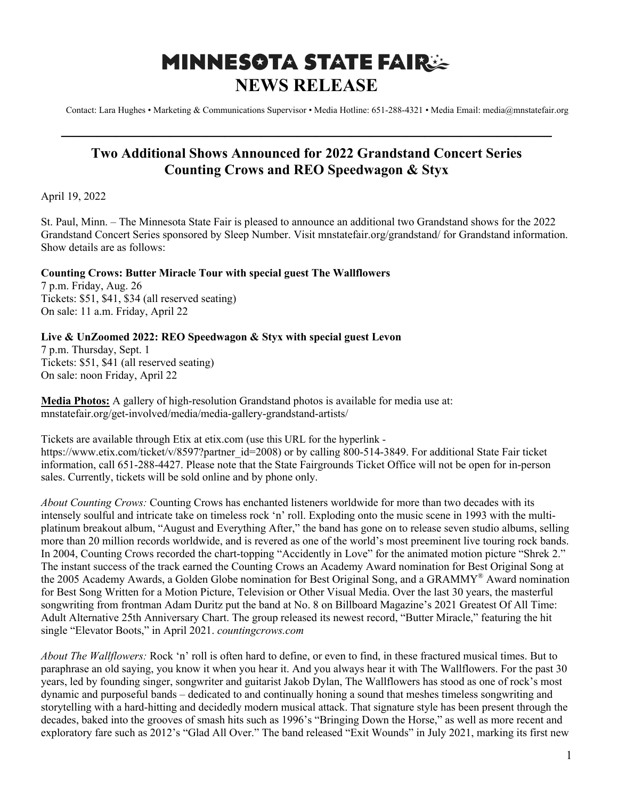## **MINNESOTA STATE FAIR: NEWS RELEASE**

Contact: Lara Hughes • Marketing & Communications Supervisor • Media Hotline: 651-288-4321 • Media Email: media@mnstatefair.org

## **Two Additional Shows Announced for 2022 Grandstand Concert Series Counting Crows and REO Speedwagon & Styx**

**———————————————————————————**

April 19, 2022

St. Paul, Minn. – The Minnesota State Fair is pleased to announce an additional two Grandstand shows for the 2022 Grandstand Concert Series sponsored by Sleep Number. Visit mnstatefair.org/grandstand/ for Grandstand information. Show details are as follows:

## **Counting Crows: Butter Miracle Tour with special guest The Wallflowers**

7 p.m. Friday, Aug. 26 Tickets: \$51, \$41, \$34 (all reserved seating) On sale: 11 a.m. Friday, April 22

## **Live & UnZoomed 2022: REO Speedwagon & Styx with special guest Levon**

7 p.m. Thursday, Sept. 1 Tickets: \$51, \$41 (all reserved seating) On sale: noon Friday, April 22

**Media Photos:** A gallery of high-resolution Grandstand photos is available for media use at: mnstatefair.org/get-involved/media/media-gallery-grandstand-artists/

Tickets are available through Etix at etix.com (use this URL for the hyperlink https://www.etix.com/ticket/v/8597?partner\_id=2008) or by calling 800-514-3849. For additional State Fair ticket information, call 651-288-4427. Please note that the State Fairgrounds Ticket Office will not be open for in-person sales. Currently, tickets will be sold online and by phone only.

*About Counting Crows:* Counting Crows has enchanted listeners worldwide for more than two decades with its intensely soulful and intricate take on timeless rock 'n' roll. Exploding onto the music scene in 1993 with the multiplatinum breakout album, "August and Everything After," the band has gone on to release seven studio albums, selling more than 20 million records worldwide, and is revered as one of the world's most preeminent live touring rock bands. In 2004, Counting Crows recorded the chart-topping "Accidently in Love" for the animated motion picture "Shrek 2." The instant success of the track earned the Counting Crows an Academy Award nomination for Best Original Song at the 2005 Academy Awards, a Golden Globe nomination for Best Original Song, and a GRAMMY® Award nomination for Best Song Written for a Motion Picture, Television or Other Visual Media. Over the last 30 years, the masterful songwriting from frontman Adam Duritz put the band at No. 8 on Billboard Magazine's 2021 Greatest Of All Time: Adult Alternative 25th Anniversary Chart. The group released its newest record, "Butter Miracle," featuring the hit single "Elevator Boots," in April 2021. *countingcrows.com*

*About The Wallflowers:* Rock 'n' roll is often hard to define, or even to find, in these fractured musical times. But to paraphrase an old saying, you know it when you hear it. And you always hear it with The Wallflowers. For the past 30 years, led by founding singer, songwriter and guitarist Jakob Dylan, The Wallflowers has stood as one of rock's most dynamic and purposeful bands – dedicated to and continually honing a sound that meshes timeless songwriting and storytelling with a hard-hitting and decidedly modern musical attack. That signature style has been present through the decades, baked into the grooves of smash hits such as 1996's "Bringing Down the Horse," as well as more recent and exploratory fare such as 2012's "Glad All Over." The band released "Exit Wounds" in July 2021, marking its first new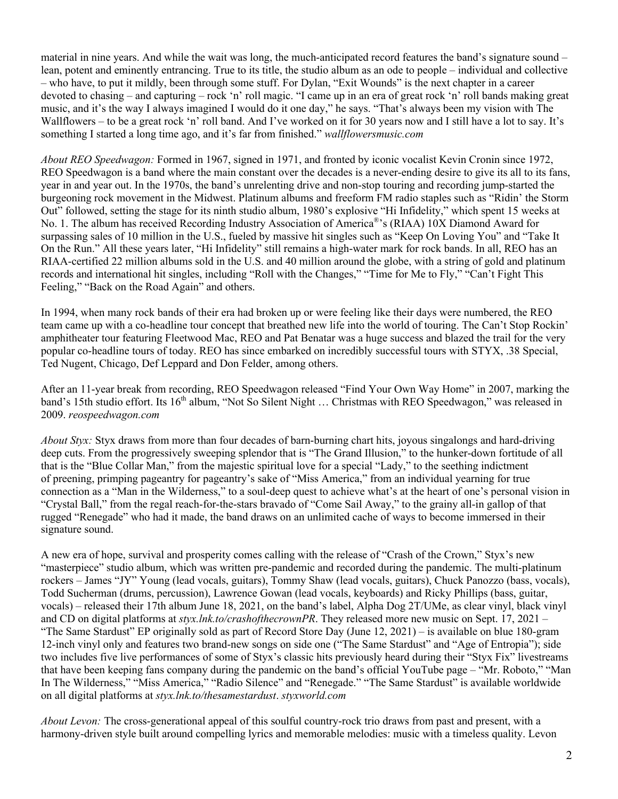material in nine years. And while the wait was long, the much-anticipated record features the band's signature sound – lean, potent and eminently entrancing. True to its title, the studio album as an ode to people – individual and collective – who have, to put it mildly, been through some stuff. For Dylan, "Exit Wounds" is the next chapter in a career devoted to chasing – and capturing – rock 'n' roll magic. "I came up in an era of great rock 'n' roll bands making great music, and it's the way I always imagined I would do it one day," he says. "That's always been my vision with The Wallflowers – to be a great rock 'n' roll band. And I've worked on it for 30 years now and I still have a lot to say. It's something I started a long time ago, and it's far from finished." *wallflowersmusic.com*

*About REO Speedwagon:* Formed in 1967, signed in 1971, and fronted by iconic vocalist Kevin Cronin since 1972, REO Speedwagon is a band where the main constant over the decades is a never-ending desire to give its all to its fans, year in and year out. In the 1970s, the band's unrelenting drive and non-stop touring and recording jump-started the burgeoning rock movement in the Midwest. Platinum albums and freeform FM radio staples such as "Ridin' the Storm Out" followed, setting the stage for its ninth studio album, 1980's explosive "Hi Infidelity," which spent 15 weeks at No. 1. The album has received Recording Industry Association of America®'s (RIAA) 10X Diamond Award for surpassing sales of 10 million in the U.S., fueled by massive hit singles such as "Keep On Loving You" and "Take It On the Run." All these years later, "Hi Infidelity" still remains a high-water mark for rock bands. In all, REO has an RIAA-certified 22 million albums sold in the U.S. and 40 million around the globe, with a string of gold and platinum records and international hit singles, including "Roll with the Changes," "Time for Me to Fly," "Can't Fight This Feeling," "Back on the Road Again" and others.

In 1994, when many rock bands of their era had broken up or were feeling like their days were numbered, the REO team came up with a co-headline tour concept that breathed new life into the world of touring. The Can't Stop Rockin' amphitheater tour featuring Fleetwood Mac, REO and Pat Benatar was a huge success and blazed the trail for the very popular co-headline tours of today. REO has since embarked on incredibly successful tours with STYX, .38 Special, Ted Nugent, Chicago, Def Leppard and Don Felder, among others.

After an 11-year break from recording, REO Speedwagon released "Find Your Own Way Home" in 2007, marking the band's 15th studio effort. Its 16<sup>th</sup> album, "Not So Silent Night ... Christmas with REO Speedwagon," was released in 2009. *reospeedwagon.com*

*About Styx:* Styx draws from more than four decades of barn-burning chart hits, joyous singalongs and hard-driving deep cuts. From the progressively sweeping splendor that is "The Grand Illusion," to the hunker-down fortitude of all that is the "Blue Collar Man," from the majestic spiritual love for a special "Lady," to the seething indictment of preening, primping pageantry for pageantry's sake of "Miss America," from an individual yearning for true connection as a "Man in the Wilderness," to a soul-deep quest to achieve what's at the heart of one's personal vision in "Crystal Ball," from the regal reach-for-the-stars bravado of "Come Sail Away," to the grainy all-in gallop of that rugged "Renegade" who had it made, the band draws on an unlimited cache of ways to become immersed in their signature sound.

A new era of hope, survival and prosperity comes calling with the release of "Crash of the Crown," Styx's new "masterpiece" studio album, which was written pre-pandemic and recorded during the pandemic. The multi-platinum rockers – James "JY" Young (lead vocals, guitars), Tommy Shaw (lead vocals, guitars), Chuck Panozzo (bass, vocals), Todd Sucherman (drums, percussion), Lawrence Gowan (lead vocals, keyboards) and Ricky Phillips (bass, guitar, vocals) – released their 17th album June 18, 2021, on the band's label, Alpha Dog 2T/UMe, as clear vinyl, black vinyl and CD on digital platforms at *styx.lnk.to/crashofthecrownPR*. They released more new music on Sept. 17, 2021 – "The Same Stardust" EP originally sold as part of Record Store Day (June 12, 2021) – is available on blue 180-gram 12-inch vinyl only and features two brand-new songs on side one ("The Same Stardust" and "Age of Entropia"); side two includes five live performances of some of Styx's classic hits previously heard during their "Styx Fix" livestreams that have been keeping fans company during the pandemic on the band's official YouTube page – "Mr. Roboto," "Man In The Wilderness," "Miss America," "Radio Silence" and "Renegade." "The Same Stardust" is available worldwide on all digital platforms at *styx.lnk.to/thesamestardust*. *styxworld.com*

*About Levon:* The cross-generational appeal of this soulful country-rock trio draws from past and present, with a harmony-driven style built around compelling lyrics and memorable melodies: music with a timeless quality. Levon